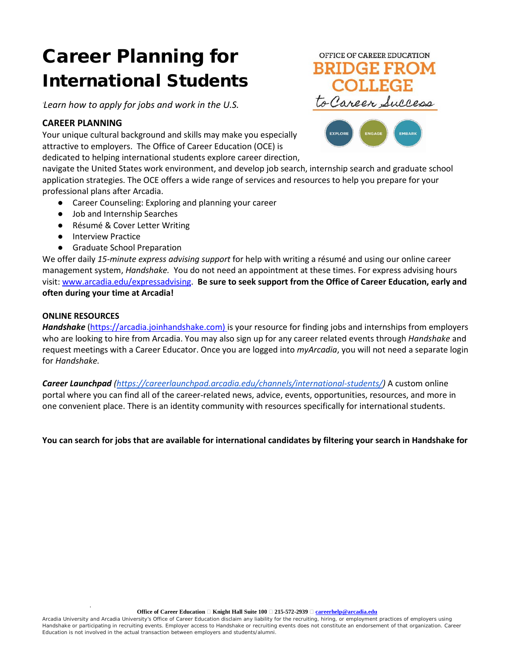# Career Planning for International Students

*Learn how to apply for jobs and work in the U.S.*

## **CAREER PLANNING**

Your unique cultural background and skills may make you especially attractive to employers. The Office of Career Education (OCE) is dedicated to helping international students explore career direction,

navigate the United States work environment, and develop job search, internship search and graduate school application strategies. The OCE offers a wide range of services and resources to help you prepare for your professional plans after Arcadia.

- Career Counseling: Exploring and planning your career
- Job and Internship Searches
- Résumé & Cover Letter Writing
- Interview Practice
- Graduate School Preparation

We offer daily *15-minute express advising support* for help with writing a résumé and using our online career management system, *Handshake.* You do not need an appointment at these times. For express advising hours visit: [www.arcadia.edu/expressadvising.](http://www.arcadia.edu/expressadvising) **Be sure to seek support from the Office of Career Education, early and often during your time at Arcadia!**

#### **ONLINE RESOURCES**

*Handshake* [\(https://arcadia.joinhandshake.com\)](https://arcadia.joinhandshake.com/) is your resource for finding jobs and internships from employers who are looking to hire from Arcadia. You may also sign up for any career related events through *Handshake* and request meetings with a Career Educator. Once you are logged into *myArcadia*, you will not need a separate login for *Handshake.* 

*Career Launchpad [\(https://careerlaunchpad.arcadia.edu/channels/international-students/\)](https://careerlaunchpad.arcadia.edu/channels/international-students/)* A custom online portal where you can find all of the career-related news, advice, events, opportunities, resources, and more in one convenient place. There is an identity community with resources specifically for international students.

**You can search for jobs that are available for international candidates by filtering your search in Handshake for**

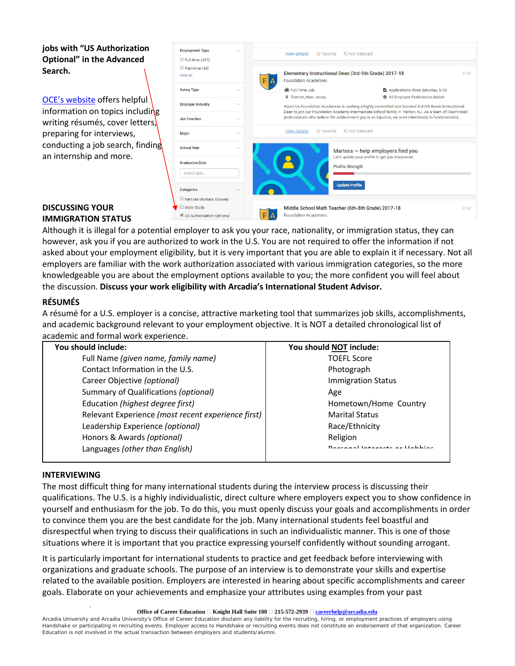# **jobs with "US Authorization Optional" in the Advanced Search.**

[OCE's website](https://careerlaunchpad.arcadia.edu/) offers helpful information on topics including writing résumés, cover letters, preparing for interviews, conducting a job search, finding an internship and more.

| <b>Employment Type</b>     | ́                   | <b>Q Not Relevant</b><br><b>View Details</b><br>☆ Favorite                                                                                                                                                                                                                                                              |                                                                                           |                                                 |                                   |      |
|----------------------------|---------------------|-------------------------------------------------------------------------------------------------------------------------------------------------------------------------------------------------------------------------------------------------------------------------------------------------------------------------|-------------------------------------------------------------------------------------------|-------------------------------------------------|-----------------------------------|------|
| Full-time (397)            |                     |                                                                                                                                                                                                                                                                                                                         |                                                                                           |                                                 |                                   |      |
| Part-time (34)<br>View all |                     |                                                                                                                                                                                                                                                                                                                         | Elementary Instructional Dean (3rd-5th Grade) 2017-18<br><b>Foundation Academies</b>      |                                                 |                                   | 213d |
| <b>Salary Type</b>         | $\checkmark$        |                                                                                                                                                                                                                                                                                                                         | <b>击 Full-Time Job</b>                                                                    |                                                 | Applications close Saturday, 9/30 |      |
|                            |                     |                                                                                                                                                                                                                                                                                                                         | <b>9</b> Trenton, New Jersey                                                              |                                                 | All Employer Preferences Match    |      |
| <b>Employer Industry</b>   | $\checkmark$        | About Us:Foundation Academies is seeking a highly committed and talented 3rd-5th Grade Instructional<br>Dean to join our Foundation Academy Intermediate School family in Trenton, NJ. As a team of like-minded<br>professionals who believe the achievement gap is an injustice, we work relentlessly to fundamentally |                                                                                           |                                                 |                                   |      |
| <b>Job Function</b>        | $\checkmark$        |                                                                                                                                                                                                                                                                                                                         |                                                                                           |                                                 |                                   |      |
| Major                      | $\checkmark$        |                                                                                                                                                                                                                                                                                                                         | <b>☆ Favorite</b><br><b>View Details</b>                                                  | <b>Q Not Relevant</b>                           |                                   |      |
| <b>School Year</b>         | $\checkmark$        |                                                                                                                                                                                                                                                                                                                         |                                                                                           |                                                 |                                   |      |
|                            |                     |                                                                                                                                                                                                                                                                                                                         |                                                                                           | Marissa – help employers find you               |                                   |      |
|                            |                     |                                                                                                                                                                                                                                                                                                                         |                                                                                           | Let's update your profile to get you discovered |                                   |      |
| <b>Graduation Date</b>     |                     |                                                                                                                                                                                                                                                                                                                         |                                                                                           | <b>Profile Strength</b>                         |                                   |      |
| Select date                |                     |                                                                                                                                                                                                                                                                                                                         |                                                                                           |                                                 |                                   |      |
|                            |                     |                                                                                                                                                                                                                                                                                                                         |                                                                                           |                                                 |                                   |      |
| <b>Categories</b>          | $\overline{\wedge}$ |                                                                                                                                                                                                                                                                                                                         |                                                                                           | <b>Update Profile</b>                           |                                   |      |
| Remote Workers Allowed     |                     |                                                                                                                                                                                                                                                                                                                         |                                                                                           |                                                 |                                   |      |
| Work Study                 |                     |                                                                                                                                                                                                                                                                                                                         | Middle School Math Teacher (6th-8th Grade) 2017-18<br>213d<br><b>Foundation Academies</b> |                                                 |                                   |      |
| US Authorization Optional  |                     |                                                                                                                                                                                                                                                                                                                         |                                                                                           |                                                 |                                   |      |
|                            |                     |                                                                                                                                                                                                                                                                                                                         |                                                                                           |                                                 |                                   |      |

#### **DISCUSSING YOUR IMMIGRATION STATUS**

Although it is illegal for a potential employer to ask you your race, nationality, or immigration status, they can however, ask you if you are authorized to work in the U.S. You are not required to offer the information if not asked about your employment eligibility, but it is very important that you are able to explain it if necessary. Not all employers are familiar with the work authorization associated with various immigration categories, so the more knowledgeable you are about the employment options available to you; the more confident you will feel about the discussion. **Discuss your work eligibility with Arcadia's International Student Advisor.**

# **RÉSUMÉS**

A résumé for a U.S. employer is a concise, attractive marketing tool that summarizes job skills, accomplishments, and academic background relevant to your employment objective. It is NOT a detailed chronological list of academic and formal work experience.

| <b>Immigration Status</b>     |
|-------------------------------|
|                               |
| Hometown/Home Country         |
|                               |
|                               |
|                               |
| Dorsonal Interacts or Hobbies |
|                               |

# **INTERVIEWING**

The most difficult thing for many international students during the interview process is discussing their qualifications. The U.S. is a highly individualistic, direct culture where employers expect you to show confidence in yourself and enthusiasm for the job. To do this, you must openly discuss your goals and accomplishments in order to convince them you are the best candidate for the job. Many international students feel boastful and disrespectful when trying to discuss their qualifications in such an individualistic manner. This is one of those situations where it is important that you practice expressing yourself confidently without sounding arrogant.

It is particularly important for international students to practice and get feedback before interviewing with organizations and graduate schools. The purpose of an interview is to demonstrate your skills and expertise related to the available position. Employers are interested in hearing about specific accomplishments and career goals. Elaborate on your achievements and emphasize your attributes using examples from your past

#### **Office of Career Education**   $\Box$  **Knight Hall Suite 100**  $\Box$  215-572-2939  $\Box$  **[careerhelp@arcadia.edu](mailto:careerhelp@arcadia.edu)**

Arcadia University and Arcadia University's Office of Career Education disclaim any liability for the recruiting, hiring, or employment practices of employers using Handshake or participating in recruiting events. Employer access to Handshake or recruiting events does not constitute an endorsement of that organization. Career Education is not involved in the actual transaction between employers and students/alumni.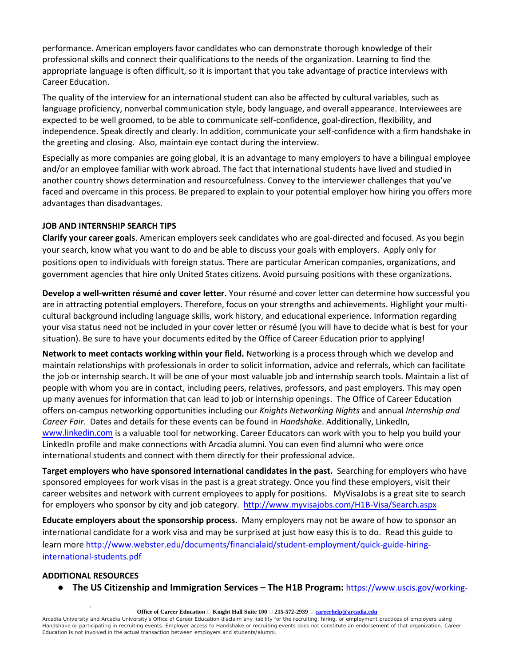performance. American employers favor candidates who can demonstrate thorough knowledge of their professional skills and connect their qualifications to the needs of the organization. Learning to find the appropriate language is often difficult, so it is important that you take advantage of practice interviews with Career Education.

The quality of the interview for an international student can also be affected by cultural variables, such as language proficiency, nonverbal communication style, body language, and overall appearance. Interviewees are expected to be well groomed, to be able to communicate self-confidence, goal-direction, flexibility, and independence. Speak directly and clearly. In addition, communicate your self-confidence with a firm handshake in the greeting and closing. Also, maintain eye contact during the interview.

Especially as more companies are going global, it is an advantage to many employers to have a bilingual employee and/or an employee familiar with work abroad. The fact that international students have lived and studied in another country shows determination and resourcefulness. Convey to the interviewer challenges that you've faced and overcame in this process. Be prepared to explain to your potential employer how hiring you offers more advantages than disadvantages.

#### **JOB AND INTERNSHIP SEARCH TIPS**

**Clarify your career goals**. American employers seek candidates who are goal-directed and focused. As you begin your search, know what you want to do and be able to discuss your goals with employers. Apply only for positions open to individuals with foreign status. There are particular American companies, organizations, and government agencies that hire only United States citizens. Avoid pursuing positions with these organizations.

**Develop a well-written résumé and cover letter.** Your résumé and cover letter can determine how successful you are in attracting potential employers. Therefore, focus on your strengths and achievements. Highlight your multicultural background including language skills, work history, and educational experience. Information regarding your visa status need not be included in your cover letter or résumé (you will have to decide what is best for your situation). Be sure to have your documents edited by the Office of Career Education prior to applying!

**Network to meet contacts working within your field.** Networking is a process through which we develop and maintain relationships with professionals in order to solicit information, advice and referrals, which can facilitate the job or internship search. It will be one of your most valuable job and internship search tools. Maintain a list of people with whom you are in contact, including peers, relatives, professors, and past employers. This may open up many avenues for information that can lead to job or internship openings. The Office of Career Education offers on-campus networking opportunities including our *Knights Networking Nights* and annual *Internship and Career Fair*. Dates and details for these events can be found in *Handshake*. Additionally, LinkedIn, [www.linkedin.com](http://www.linkedin.com/) is a valuable tool for networking. Career Educators can work with you to help you build your LinkedIn profile and make connections with Arcadia alumni. You can even find alumni who were once international students and connect with them directly for their professional advice.

**Target employers who have sponsored international candidates in the past.** Searching for employers who have sponsored employees for work visas in the past is a great strategy. Once you find these employers, visit their career websites and network with current employees to apply for positions. MyVisaJobs is a great site to search for employers who sponsor by city and job category.<http://www.myvisajobs.com/H1B-Visa/Search.aspx>

**Educate employers about the sponsorship process.** Many employers may not be aware of how to sponsor an international candidate for a work visa and may be surprised at just how easy this is to do. Read this guide to learn more [http://www.webster.edu/documents/financialaid/student-employment/quick-guide-hiring](http://www.webster.edu/documents/financialaid/student-employment/quick-guide-hiring-international-students.pdf)[international-students.pdf](http://www.webster.edu/documents/financialaid/student-employment/quick-guide-hiring-international-students.pdf)

# **ADDITIONAL RESOURCES**

● **The US Citizenship and Immigration Services – The H1B Program:** [https://www.uscis.gov/working-](https://www.uscis.gov/working-united-states/temporary-workers/h-1b-specialty-occupations-and-fashion-models/h-1b-fiscal-year-fy-2018-cap-season)

#### **Office of Career Education**   $\Box$  **Knight Hall Suite 100**  $\Box$  215-572-2939  $\Box$  **[careerhelp@arcadia.edu](mailto:careerhelp@arcadia.edu)**

Arcadia University and Arcadia University's Office of Career Education disclaim any liability for the recruiting, hiring, or employment practices of employers using Handshake or participating in recruiting events. Employer access to Handshake or recruiting events does not constitute an endorsement of that organization. Career Education is not involved in the actual transaction between employers and students/alumni.